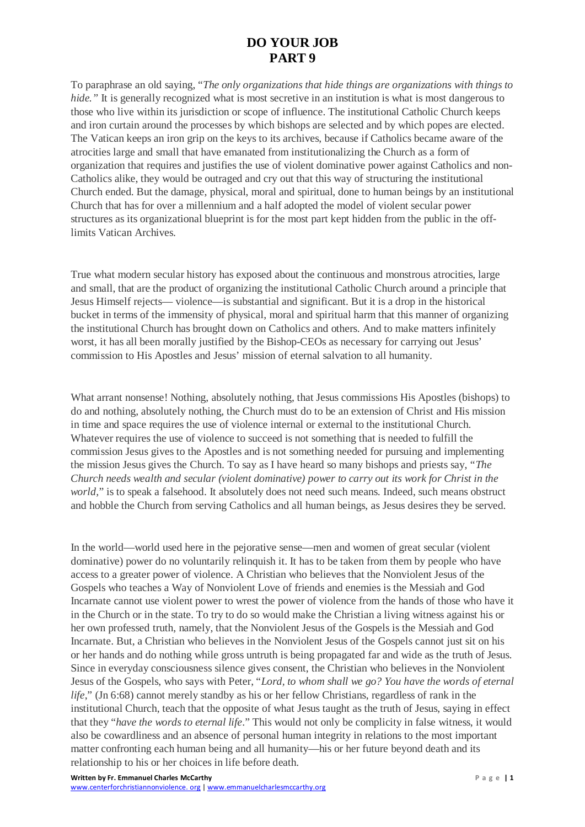## **DO YOUR JOB PART 9**

To paraphrase an old saying, "*The only organizations that hide things are organizations with things to hide.*" It is generally recognized what is most secretive in an institution is what is most dangerous to those who live within its jurisdiction or scope of influence. The institutional Catholic Church keeps and iron curtain around the processes by which bishops are selected and by which popes are elected. The Vatican keeps an iron grip on the keys to its archives, because if Catholics became aware of the atrocities large and small that have emanated from institutionalizing the Church as a form of organization that requires and justifies the use of violent dominative power against Catholics and non-Catholics alike, they would be outraged and cry out that this way of structuring the institutional Church ended. But the damage, physical, moral and spiritual, done to human beings by an institutional Church that has for over a millennium and a half adopted the model of violent secular power structures as its organizational blueprint is for the most part kept hidden from the public in the offlimits Vatican Archives.

True what modern secular history has exposed about the continuous and monstrous atrocities, large and small, that are the product of organizing the institutional Catholic Church around a principle that Jesus Himself rejects— violence—is substantial and significant. But it is a drop in the historical bucket in terms of the immensity of physical, moral and spiritual harm that this manner of organizing the institutional Church has brought down on Catholics and others. And to make matters infinitely worst, it has all been morally justified by the Bishop-CEOs as necessary for carrying out Jesus' commission to His Apostles and Jesus' mission of eternal salvation to all humanity.

What arrant nonsense! Nothing, absolutely nothing, that Jesus commissions His Apostles (bishops) to do and nothing, absolutely nothing, the Church must do to be an extension of Christ and His mission in time and space requires the use of violence internal or external to the institutional Church. Whatever requires the use of violence to succeed is not something that is needed to fulfill the commission Jesus gives to the Apostles and is not something needed for pursuing and implementing the mission Jesus gives the Church. To say as I have heard so many bishops and priests say, "*The Church needs wealth and secular (violent dominative) power to carry out its work for Christ in the world*," is to speak a falsehood. It absolutely does not need such means. Indeed, such means obstruct and hobble the Church from serving Catholics and all human beings, as Jesus desires they be served.

In the world—world used here in the pejorative sense—men and women of great secular (violent dominative) power do no voluntarily relinquish it. It has to be taken from them by people who have access to a greater power of violence. A Christian who believes that the Nonviolent Jesus of the Gospels who teaches a Way of Nonviolent Love of friends and enemies is the Messiah and God Incarnate cannot use violent power to wrest the power of violence from the hands of those who have it in the Church or in the state. To try to do so would make the Christian a living witness against his or her own professed truth, namely, that the Nonviolent Jesus of the Gospels is the Messiah and God Incarnate. But, a Christian who believes in the Nonviolent Jesus of the Gospels cannot just sit on his or her hands and do nothing while gross untruth is being propagated far and wide as the truth of Jesus. Since in everyday consciousness silence gives consent, the Christian who believes in the Nonviolent Jesus of the Gospels, who says with Peter, "*Lord, to whom shall we go? You have the words of eternal life*," (Jn 6:68) cannot merely standby as his or her fellow Christians, regardless of rank in the institutional Church, teach that the opposite of what Jesus taught as the truth of Jesus, saying in effect that they "*have the words to eternal life*." This would not only be complicity in false witness, it would also be cowardliness and an absence of personal human integrity in relations to the most important matter confronting each human being and all humanity—his or her future beyond death and its relationship to his or her choices in life before death.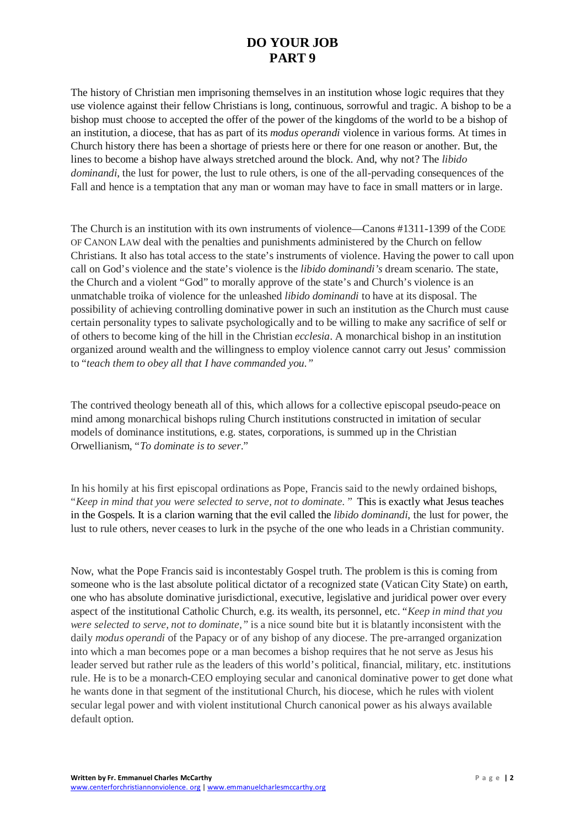## **DO YOUR JOB PART 9**

The history of Christian men imprisoning themselves in an institution whose logic requires that they use violence against their fellow Christians is long, continuous, sorrowful and tragic. A bishop to be a bishop must choose to accepted the offer of the power of the kingdoms of the world to be a bishop of an institution, a diocese, that has as part of its *modus operandi* violence in various forms. At times in Church history there has been a shortage of priests here or there for one reason or another. But, the lines to become a bishop have always stretched around the block. And, why not? The *libido dominandi*, the lust for power, the lust to rule others, is one of the all-pervading consequences of the Fall and hence is a temptation that any man or woman may have to face in small matters or in large.

The Church is an institution with its own instruments of violence—Canons #1311-1399 of the CODE OF CANON LAW deal with the penalties and punishments administered by the Church on fellow Christians. It also has total access to the state's instruments of violence. Having the power to call upon call on God's violence and the state's violence is the *libido dominandi's* dream scenario. The state, the Church and a violent "God" to morally approve of the state's and Church's violence is an unmatchable troika of violence for the unleashed *libido dominandi* to have at its disposal. The possibility of achieving controlling dominative power in such an institution as the Church must cause certain personality types to salivate psychologically and to be willing to make any sacrifice of self or of others to become king of the hill in the Christian *ecclesia*. A monarchical bishop in an institution organized around wealth and the willingness to employ violence cannot carry out Jesus' commission to "*teach them to obey all that I have commanded you."*

The contrived theology beneath all of this, which allows for a collective episcopal pseudo-peace on mind among monarchical bishops ruling Church institutions constructed in imitation of secular models of dominance institutions, e.g. states, corporations, is summed up in the Christian Orwellianism, "*To dominate is to sever*."

In his homily at his first episcopal ordinations as Pope, Francis said to the newly ordained bishops, "*Keep in mind that you were selected to serve, not to dominate.* " This is exactly what Jesus teaches in the Gospels. It is a clarion warning that the evil called the *libido dominandi*, the lust for power, the lust to rule others, never ceases to lurk in the psyche of the one who leads in a Christian community.

Now, what the Pope Francis said is incontestably Gospel truth. The problem is this is coming from someone who is the last absolute political dictator of a recognized state (Vatican City State) on earth, one who has absolute dominative jurisdictional, executive, legislative and juridical power over every aspect of the institutional Catholic Church, e.g. its wealth, its personnel, etc. "*Keep in mind that you were selected to serve, not to dominate,"* is a nice sound bite but it is blatantly inconsistent with the daily *modus operandi* of the Papacy or of any bishop of any diocese. The pre-arranged organization into which a man becomes pope or a man becomes a bishop requires that he not serve as Jesus his leader served but rather rule as the leaders of this world's political, financial, military, etc. institutions rule. He is to be a monarch-CEO employing secular and canonical dominative power to get done what he wants done in that segment of the institutional Church, his diocese, which he rules with violent secular legal power and with violent institutional Church canonical power as his always available default option.